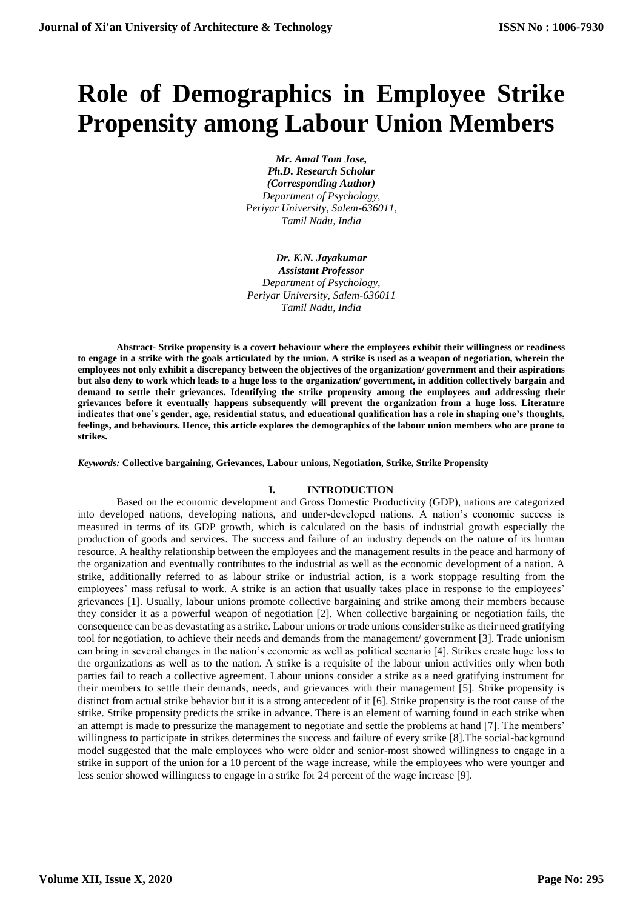# **Role of Demographics in Employee Strike Propensity among Labour Union Members**

*Mr. Amal Tom Jose, Ph.D. Research Scholar (Corresponding Author) Department of Psychology, Periyar University, Salem-636011, Tamil Nadu, India*

*Dr. K.N. Jayakumar Assistant Professor Department of Psychology, Periyar University, Salem-636011 Tamil Nadu, India*

**Abstract- Strike propensity is a covert behaviour where the employees exhibit their willingness or readiness to engage in a strike with the goals articulated by the union. A strike is used as a weapon of negotiation, wherein the employees not only exhibit a discrepancy between the objectives of the organization/ government and their aspirations but also deny to work which leads to a huge loss to the organization/ government, in addition collectively bargain and demand to settle their grievances. Identifying the strike propensity among the employees and addressing their grievances before it eventually happens subsequently will prevent the organization from a huge loss. Literature indicates that one's gender, age, residential status, and educational qualification has a role in shaping one's thoughts, feelings, and behaviours. Hence, this article explores the demographics of the labour union members who are prone to strikes.** 

#### *Keywords:* **Collective bargaining, Grievances, Labour unions, Negotiation, Strike, Strike Propensity**

#### **I. INTRODUCTION**

Based on the economic development and Gross Domestic Productivity (GDP), nations are categorized into developed nations, developing nations, and under-developed nations. A nation's economic success is measured in terms of its GDP growth, which is calculated on the basis of industrial growth especially the production of goods and services. The success and failure of an industry depends on the nature of its human resource. A healthy relationship between the employees and the management results in the peace and harmony of the organization and eventually contributes to the industrial as well as the economic development of a nation. A strike, additionally referred to as labour strike or industrial action, is a work stoppage resulting from the employees' mass refusal to work. A strike is an action that usually takes place in response to the employees' grievances [1]. Usually, labour unions promote collective bargaining and strike among their members because they consider it as a powerful weapon of negotiation [2]. When collective bargaining or negotiation fails, the consequence can be as devastating as a strike. Labour unions or trade unions consider strike as their need gratifying tool for negotiation, to achieve their needs and demands from the management/ government [3]. Trade unionism can bring in several changes in the nation's economic as well as political scenario [4]. Strikes create huge loss to the organizations as well as to the nation. A strike is a requisite of the labour union activities only when both parties fail to reach a collective agreement. Labour unions consider a strike as a need gratifying instrument for their members to settle their demands, needs, and grievances with their management [5]. Strike propensity is distinct from actual strike behavior but it is a strong antecedent of it [6]. Strike propensity is the root cause of the strike. Strike propensity predicts the strike in advance. There is an element of warning found in each strike when an attempt is made to pressurize the management to negotiate and settle the problems at hand [7]. The members' willingness to participate in strikes determines the success and failure of every strike [8].The social-background model suggested that the male employees who were older and senior-most showed willingness to engage in a strike in support of the union for a 10 percent of the wage increase, while the employees who were younger and less senior showed willingness to engage in a strike for 24 percent of the wage increase [9].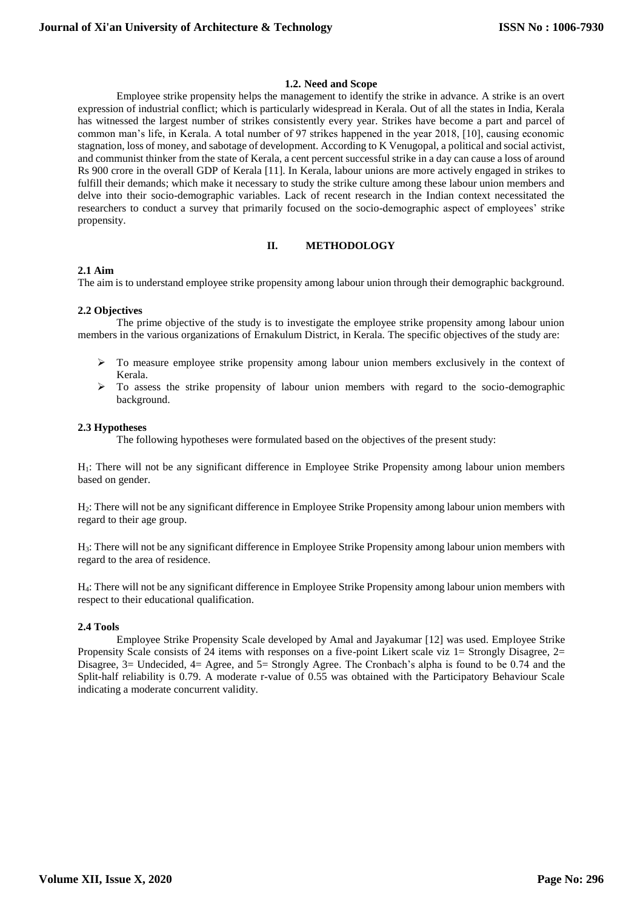#### **1.2. Need and Scope**

Employee strike propensity helps the management to identify the strike in advance. A strike is an overt expression of industrial conflict; which is particularly widespread in Kerala. Out of all the states in India, Kerala has witnessed the largest number of strikes consistently every year. Strikes have become a part and parcel of common man's life, in Kerala. A total number of 97 strikes happened in the year 2018, [10], causing economic stagnation, loss of money, and sabotage of development. According to K Venugopal, a political and social activist, and communist thinker from the state of Kerala, a cent percent successful strike in a day can cause a loss of around Rs 900 crore in the overall GDP of Kerala [11]. In Kerala, labour unions are more actively engaged in strikes to fulfill their demands; which make it necessary to study the strike culture among these labour union members and delve into their socio-demographic variables. Lack of recent research in the Indian context necessitated the researchers to conduct a survey that primarily focused on the socio-demographic aspect of employees' strike propensity.

## **II. METHODOLOGY**

#### **2.1 Aim**

The aim is to understand employee strike propensity among labour union through their demographic background.

#### **2.2 Objectives**

The prime objective of the study is to investigate the employee strike propensity among labour union members in the various organizations of Ernakulum District, in Kerala. The specific objectives of the study are:

- $\triangleright$  To measure employee strike propensity among labour union members exclusively in the context of Kerala.
- $\triangleright$  To assess the strike propensity of labour union members with regard to the socio-demographic background.

#### **2.3 Hypotheses**

The following hypotheses were formulated based on the objectives of the present study:

H1: There will not be any significant difference in Employee Strike Propensity among labour union members based on gender.

H2: There will not be any significant difference in Employee Strike Propensity among labour union members with regard to their age group.

H3: There will not be any significant difference in Employee Strike Propensity among labour union members with regard to the area of residence.

H4: There will not be any significant difference in Employee Strike Propensity among labour union members with respect to their educational qualification.

#### **2.4 Tools**

Employee Strike Propensity Scale developed by Amal and Jayakumar [12] was used. Employee Strike Propensity Scale consists of 24 items with responses on a five-point Likert scale viz 1= Strongly Disagree, 2= Disagree, 3= Undecided, 4= Agree, and 5= Strongly Agree. The Cronbach's alpha is found to be 0.74 and the Split-half reliability is 0.79. A moderate r-value of 0.55 was obtained with the Participatory Behaviour Scale indicating a moderate concurrent validity.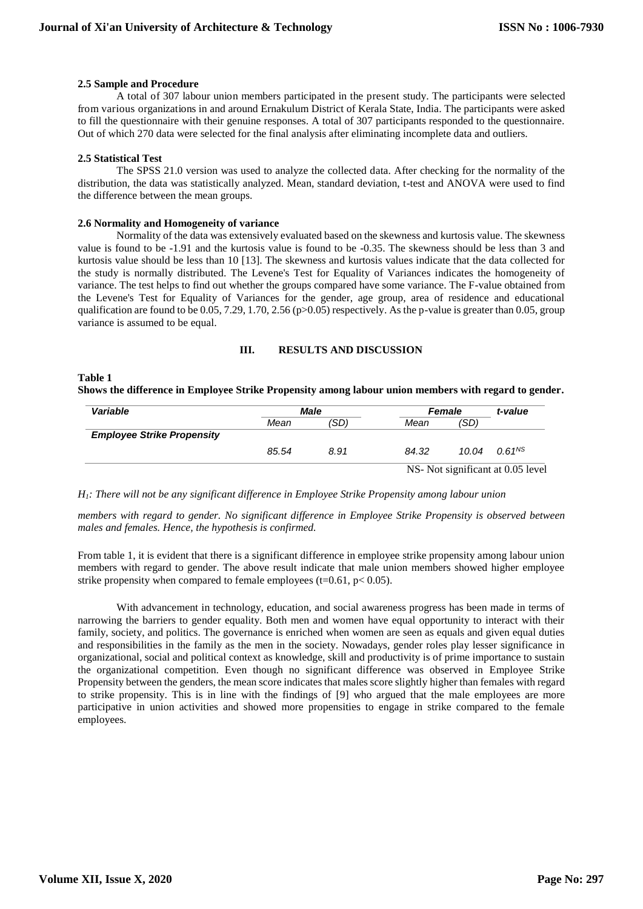#### **2.5 Sample and Procedure**

A total of 307 labour union members participated in the present study. The participants were selected from various organizations in and around Ernakulum District of Kerala State, India. The participants were asked to fill the questionnaire with their genuine responses. A total of 307 participants responded to the questionnaire. Out of which 270 data were selected for the final analysis after eliminating incomplete data and outliers.

#### **2.5 Statistical Test**

The SPSS 21.0 version was used to analyze the collected data. After checking for the normality of the distribution, the data was statistically analyzed. Mean, standard deviation, t-test and ANOVA were used to find the difference between the mean groups.

#### **2.6 Normality and Homogeneity of variance**

Normality of the data was extensively evaluated based on the skewness and kurtosis value. The skewness value is found to be -1.91 and the kurtosis value is found to be -0.35. The skewness should be less than 3 and kurtosis value should be less than 10 [13]. The skewness and kurtosis values indicate that the data collected for the study is normally distributed. The Levene's Test for Equality of Variances indicates the homogeneity of variance. The test helps to find out whether the groups compared have some variance. The F-value obtained from the Levene's Test for Equality of Variances for the gender, age group, area of residence and educational qualification are found to be 0.05, 7.29, 1.70, 2.56 (p>0.05) respectively. As the p-value is greater than 0.05, group variance is assumed to be equal.

## **III. RESULTS AND DISCUSSION**

# **Table 1 Shows the difference in Employee Strike Propensity among labour union members with regard to gender.**

| Variable                          |       | Male | <b>Female</b> | t-value                           |                    |  |  |
|-----------------------------------|-------|------|---------------|-----------------------------------|--------------------|--|--|
|                                   | Mean  | (SD) | Mean          | (SD)                              |                    |  |  |
| <b>Employee Strike Propensity</b> |       |      |               |                                   |                    |  |  |
|                                   | 85.54 | 8.91 | 84.32         | 10.04                             | 0.61 <sup>NS</sup> |  |  |
|                                   |       |      |               | NS- Not significant at 0.05 level |                    |  |  |

*H1: There will not be any significant difference in Employee Strike Propensity among labour union*

*members with regard to gender. No significant difference in Employee Strike Propensity is observed between males and females. Hence, the hypothesis is confirmed.*

From table 1, it is evident that there is a significant difference in employee strike propensity among labour union members with regard to gender. The above result indicate that male union members showed higher employee strike propensity when compared to female employees (t=0.61,  $p$  < 0.05).

With advancement in technology, education, and social awareness progress has been made in terms of narrowing the barriers to gender equality. Both men and women have equal opportunity to interact with their family, society, and politics. The governance is enriched when women are seen as equals and given equal duties and responsibilities in the family as the men in the society. Nowadays, gender roles play lesser significance in organizational, social and political context as knowledge, skill and productivity is of prime importance to sustain the organizational competition. Even though no significant difference was observed in Employee Strike Propensity between the genders, the mean score indicates that males score slightly higher than females with regard to strike propensity. This is in line with the findings of [9] who argued that the male employees are more participative in union activities and showed more propensities to engage in strike compared to the female employees.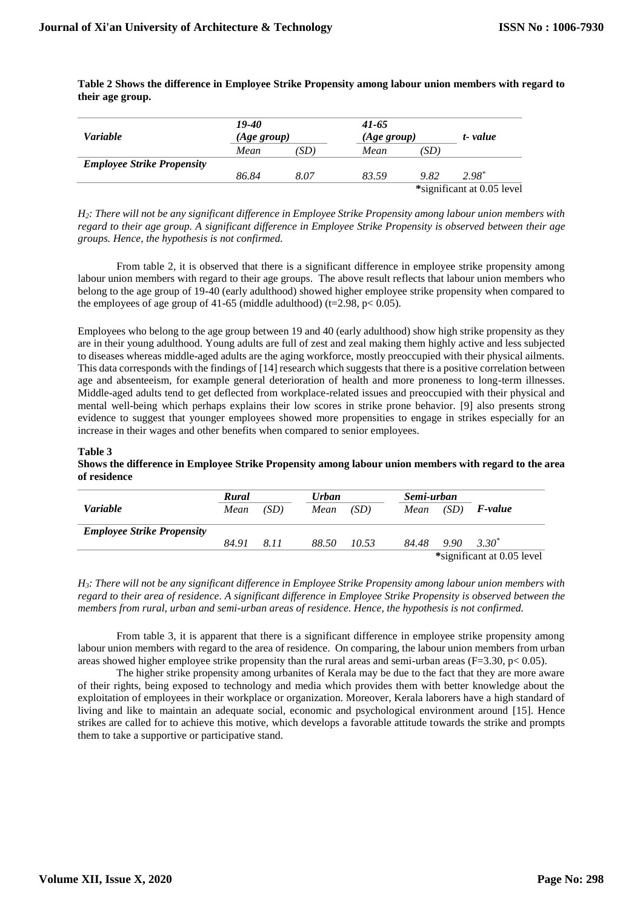**Table 2 Shows the difference in Employee Strike Propensity among labour union members with regard to their age group.**

| <i>Variable</i>                   | 19-40<br>(Age group) |      | $41 - 65$ | (Age group)                |       |  |  |
|-----------------------------------|----------------------|------|-----------|----------------------------|-------|--|--|
|                                   | Mean                 | 'SD) | Mean      | 'SD                        |       |  |  |
| <b>Employee Strike Propensity</b> |                      |      |           |                            |       |  |  |
|                                   | 86.84                | 8.07 | 83.59     | 9.82                       | 2.98* |  |  |
|                                   |                      |      |           | *significant at 0.05 level |       |  |  |

*H2: There will not be any significant difference in Employee Strike Propensity among labour union members with regard to their age group. A significant difference in Employee Strike Propensity is observed between their age groups. Hence, the hypothesis is not confirmed.*

From table 2, it is observed that there is a significant difference in employee strike propensity among labour union members with regard to their age groups. The above result reflects that labour union members who belong to the age group of 19-40 (early adulthood) showed higher employee strike propensity when compared to the employees of age group of 41-65 (middle adulthood) (t=2.98,  $p < 0.05$ ).

Employees who belong to the age group between 19 and 40 (early adulthood) show high strike propensity as they are in their young adulthood. Young adults are full of zest and zeal making them highly active and less subjected to diseases whereas middle-aged adults are the aging workforce, mostly preoccupied with their physical ailments. This data corresponds with the findings of [14] research which suggests that there is a positive correlation between age and absenteeism, for example general deterioration of health and more proneness to long-term illnesses. Middle-aged adults tend to get deflected from workplace-related issues and preoccupied with their physical and mental well-being which perhaps explains their low scores in strike prone behavior. [9] also presents strong evidence to suggest that younger employees showed more propensities to engage in strikes especially for an increase in their wages and other benefits when compared to senior employees.

#### **Table 3**

**Shows the difference in Employee Strike Propensity among labour union members with regard to the area of residence**

|                                   | Rural |      | <b>Urban</b> |       | Semi-urban |                            |                    |  |  |
|-----------------------------------|-------|------|--------------|-------|------------|----------------------------|--------------------|--|--|
| <i>Variable</i>                   | Mean  | (SD) | Mean         | (SD)  | Mean       | (SD)                       | <i>F-value</i>     |  |  |
| <b>Employee Strike Propensity</b> |       |      |              |       |            |                            |                    |  |  |
|                                   | 84.91 | 8.11 | 88.50        | 10.53 | 84.48      |                            | $9.90\quad 3.30^*$ |  |  |
|                                   |       |      |              |       |            | *significant at 0.05 level |                    |  |  |

*H3: There will not be any significant difference in Employee Strike Propensity among labour union members with regard to their area of residence. A significant difference in Employee Strike Propensity is observed between the members from rural, urban and semi-urban areas of residence. Hence, the hypothesis is not confirmed.*

From table 3, it is apparent that there is a significant difference in employee strike propensity among labour union members with regard to the area of residence. On comparing, the labour union members from urban areas showed higher employee strike propensity than the rural areas and semi-urban areas ( $F=3.30$ ,  $p< 0.05$ ).

The higher strike propensity among urbanites of Kerala may be due to the fact that they are more aware of their rights, being exposed to technology and media which provides them with better knowledge about the exploitation of employees in their workplace or organization. Moreover, Kerala laborers have a high standard of living and like to maintain an adequate social, economic and psychological environment around [15]. Hence strikes are called for to achieve this motive, which develops a favorable attitude towards the strike and prompts them to take a supportive or participative stand.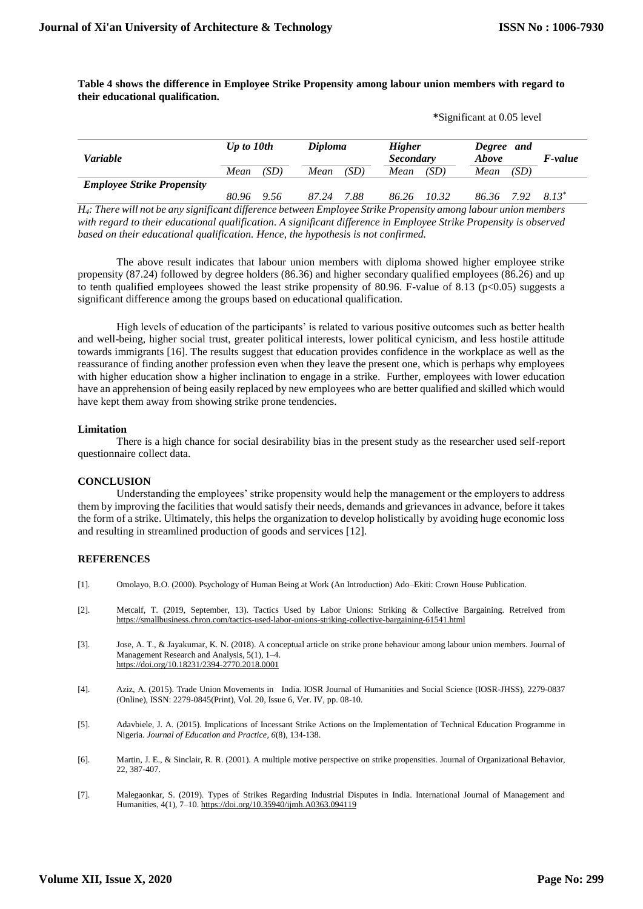**\***Significant at 0.05 level

## **Table 4 shows the difference in Employee Strike Propensity among labour union members with regard to their educational qualification.**

| <b>Variable</b>                   | Up to 10th    |  | <b>Diploma</b> |      | <b>Higher</b><br><b>Secondary</b> |       | Degree and<br>Above |      | <i>F-value</i> |
|-----------------------------------|---------------|--|----------------|------|-----------------------------------|-------|---------------------|------|----------------|
|                                   | (SD)<br>Mean  |  | Mean           | (SD) | Mean                              | (SD)  | Mean                | (SD) |                |
| <b>Employee Strike Propensity</b> | 80.96<br>9.56 |  | 87.24          | 7.88 | 86.26                             | 10.32 | 86.36               | 792  | 8.13*          |

*H4: There will not be any significant difference between Employee Strike Propensity among labour union members with regard to their educational qualification. A significant difference in Employee Strike Propensity is observed based on their educational qualification. Hence, the hypothesis is not confirmed.*

The above result indicates that labour union members with diploma showed higher employee strike propensity (87.24) followed by degree holders (86.36) and higher secondary qualified employees (86.26) and up to tenth qualified employees showed the least strike propensity of 80.96. F-value of 8.13 (p<0.05) suggests a significant difference among the groups based on educational qualification.

High levels of education of the participants' is related to various positive outcomes such as better health and well-being, higher social trust, greater political interests, lower political cynicism, and less hostile attitude towards immigrants [16]. The results suggest that education provides confidence in the workplace as well as the reassurance of finding another profession even when they leave the present one, which is perhaps why employees with higher education show a higher inclination to engage in a strike. Further, employees with lower education have an apprehension of being easily replaced by new employees who are better qualified and skilled which would have kept them away from showing strike prone tendencies.

#### **Limitation**

There is a high chance for social desirability bias in the present study as the researcher used self-report questionnaire collect data.

#### **CONCLUSION**

Understanding the employees' strike propensity would help the management or the employers to address them by improving the facilities that would satisfy their needs, demands and grievances in advance, before it takes the form of a strike. Ultimately, this helps the organization to develop holistically by avoiding huge economic loss and resulting in streamlined production of goods and services [12].

#### **REFERENCES**

- [1]. Omolayo, B.O. (2000). Psychology of Human Being at Work (An Introduction) Ado–Ekiti: Crown House Publication.
- [2]. Metcalf, T. (2019, September, 13). Tactics Used by Labor Unions: Striking & Collective Bargaining. Retreived from <https://smallbusiness.chron.com/tactics-used-labor-unions-striking-collective-bargaining-61541.html>
- [3]. Jose, A. T., & Jayakumar, K. N. (2018). A conceptual article on strike prone behaviour among labour union members. Journal of Management Research and Analysis, 5(1), 1–4. https://doi.org/10.18231/2394-2770.2018.0001
- [4]. Aziz, A. (2015). Trade Union Movements in India. IOSR Journal of Humanities and Social Science (IOSR-JHSS), 2279-0837 (Online), ISSN: 2279-0845(Print), Vol. 20, Issue 6, Ver. IV, pp. 08-10.
- [5]. Adavbiele, J. A. (2015). Implications of Incessant Strike Actions on the Implementation of Technical Education Programme in Nigeria. *Journal of Education and Practice*, *6*(8), 134-138.
- [6]. Martin, J. E., & Sinclair, R. R. (2001). A multiple motive perspective on strike propensities. Journal of Organizational Behavior, 22, 387-407.
- [7]. Malegaonkar, S. (2019). Types of Strikes Regarding Industrial Disputes in India. International Journal of Management and Humanities, 4(1), 7–10. https://doi.org/10.35940/ijmh.A0363.094119